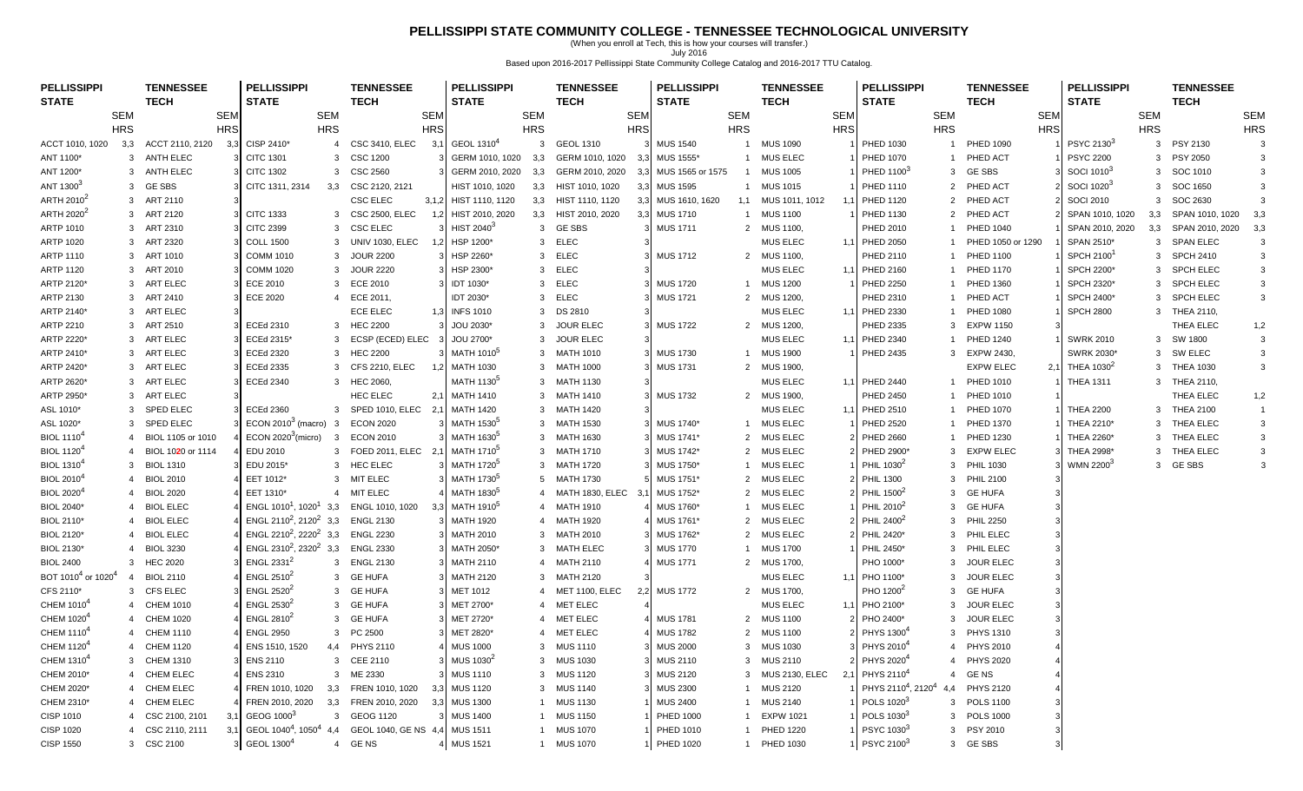### **PELLISSIPPI STATE COMMUNITY COLLEGE - TENNESSEE TECHNOLOGICAL UNIVERSITY**

(When you enroll at Tech, this is how your courses will transfer.) July 2016 Based upon 2016-2017 Pellissippi State Community College Catalog and 2016-2017 TTU Catalog.

| <b>PELLISSIPPI</b><br><b>PELLISSIPPI</b><br><b>PELLISSIPPI</b><br><b>PELLISSIPPI</b><br><b>TENNESSEE</b><br><b>TENNESSEE</b><br><b>TENNESSEE</b><br><b>TENNESSEE</b>                                                                 |            | <b>PELLISSIPPI</b>                               | <b>TENNESSEE</b>        | <b>PELLISSIPPI</b>               | <b>TENNESSEE</b>            |
|--------------------------------------------------------------------------------------------------------------------------------------------------------------------------------------------------------------------------------------|------------|--------------------------------------------------|-------------------------|----------------------------------|-----------------------------|
| <b>TECH</b><br><b>STATE</b><br><b>STATE</b><br><b>STATE</b><br><b>TECH</b><br><b>STATE</b><br><b>TECH</b><br><b>TECH</b>                                                                                                             |            | <b>STATE</b>                                     | <b>TECH</b>             | <b>STATE</b>                     | <b>TECH</b>                 |
| <b>SEM</b><br><b>SEM</b><br><b>SEM</b><br><b>SEM</b><br><b>SEM</b><br><b>SEM</b><br><b>SEM</b>                                                                                                                                       | <b>SEM</b> | <b>SEM</b>                                       | <b>SEM</b>              | <b>SEM</b>                       | <b>SEM</b>                  |
| <b>HRS</b><br><b>HRS</b><br><b>HRS</b><br><b>HRS</b><br><b>HRS</b><br><b>HRS</b><br><b>HRS</b>                                                                                                                                       | <b>HRS</b> | <b>HRS</b>                                       | <b>HRS</b>              | <b>HRS</b>                       | <b>HRS</b>                  |
| CISP 2410*<br>GEOL 1310 <sup>4</sup><br>ACCT 2110, 2120<br><b>CSC 3410, ELEC</b><br>$\mathbf{3}$<br><b>GEOL 1310</b><br><b>MUS 1540</b><br><b>MUS 1090</b><br>ACCT 1010, 1020<br>3,3<br>3,3<br>$\overline{4}$<br>3,1<br>$\mathbf{1}$ |            | PHED 1030<br>$\overline{1}$                      | <b>PHED 1090</b>        | PSYC 21303<br>$\mathbf{3}$       | PSY 2130<br>3               |
| 3 ANTH ELEC<br><b>CITC 1301</b><br><b>CSC 1200</b><br>GERM 1010, 1020<br>3.3<br>GERM 1010, 1020<br>1 MUS ELEC<br>ANT 1100*<br>3<br>MUS 1555*<br>3.3                                                                                  |            | <b>PHED 1070</b><br>$\overline{1}$               | PHED ACT                | <b>PSYC 2200</b><br>3            | <b>PSY 2050</b><br>3        |
| 3 ANTH ELEC<br><b>CITC 1302</b><br><b>CSC 2560</b><br>GERM 2010, 2020<br>GERM 2010, 2020<br>MUS 1565 or 1575<br><b>MUS 1005</b><br>ANT 1200*<br>3<br>3,3<br>3.3<br>$\overline{1}$                                                    |            | PHED 1100 <sup>3</sup><br>3                      | <b>GE SBS</b>           | SOCI 1010 <sup>3</sup><br>3      | SOC 1010                    |
| ANT 1300 <sup>3</sup><br><b>GE SBS</b><br>CITC 1311, 2314<br>CSC 2120, 2121<br>HIST 1010, 1020<br>HIST 1010, 1020<br><b>MUS 1595</b><br>1 MUS 1015<br>3<br>3,3<br>3,3<br>3,3                                                         |            | PHED 1110<br>$\overline{2}$                      | PHED ACT                | SOCI 1020 <sup>3</sup><br>3      | SOC 1650<br>3               |
| <b>CSC ELEC</b><br>ARTH 2010 <sup>2</sup><br>3 ART 2110<br>3,1,2 HIST 1110, 1120<br>HIST 1110, 1120<br>3,3<br>MUS 1610, 1620<br>1,1 MUS 1011, 1012<br>3.3                                                                            |            | <b>PHED 1120</b><br>$\overline{2}$               | PHED ACT                | <b>SOCI 2010</b><br>$\mathbf{3}$ | SOC 2630                    |
| ARTH 2020 <sup>2</sup><br><b>CITC 1333</b><br><b>CSC 2500, ELEC</b><br>HIST 2010, 2020<br>HIST 2010, 2020<br><b>MUS 1710</b><br><b>MUS 1100</b><br>3<br>ART 2120<br>3,3<br>3,3<br>3<br>1.2<br>$\overline{1}$                         |            | PHED 1130<br>$\overline{2}$                      | PHED ACT                | SPAN 1010, 1020                  | 3,3 SPAN 1010, 1020         |
| <b>CSC ELEC</b><br>HIST 2040 <sup>3</sup><br>3 GESBS<br>ARTP 1010<br>3 ART 2310<br><b>CITC 2399</b><br>3<br><b>MUS 1711</b><br>2 MUS 1100,                                                                                           |            | PHED 2010<br>$\overline{1}$                      | <b>PHED 1040</b>        | SPAN 2010, 2020                  | 3,3 SPAN 2010, 2020<br>3.3  |
| <b>COLL 1500</b><br><b>UNIV 1030, ELEC</b><br>HSP 1200*<br>ELEC<br><b>MUS ELEC</b><br><b>ARTP 1020</b><br>ART 2320<br>3<br>3<br>3<br>12                                                                                              |            | 1,1 PHED 2050                                    | PHED 1050 or 1290       | SPAN 2510*                       | 3 SPAN ELEC<br>3            |
| <b>ARTP 1110</b><br>3 ART 1010<br><b>COMM 1010</b><br><b>JOUR 2200</b><br><b>ELEC</b><br><b>MUS 1712</b><br>2 MUS 1100,<br>3<br>HSP 2260*<br>3                                                                                       |            | PHED 2110<br>$\overline{1}$                      | <b>PHED 1100</b>        | SPCH 2100 <sup>1</sup>           | 3 SPCH 2410<br>3            |
| <b>MUS ELEC</b><br><b>ARTP 1120</b><br>ART 2010<br><b>COMM 1020</b><br><b>JOUR 2220</b><br>ELEC<br>3<br>3<br>HSP 2300*<br>3<br>3                                                                                                     | 1.1        | PHED 2160<br>$\overline{1}$                      | <b>PHED 1170</b>        | 3<br><b>SPCH 2200*</b>           | <b>SPCH ELEC</b><br>3       |
| ARTP 2120*<br>3 ART ELEC<br><b>ECE 2010</b><br><b>ECE 2010</b><br>IDT 1030*<br>ELEC<br><b>MUS 1720</b><br>1 MUS 1200<br>3<br>3                                                                                                       |            | <b>PHED 2250</b>                                 | PHED 1360               | SPCH 2320*<br>3                  | 3<br><b>SPCH ELEC</b>       |
| 3 ART 2410<br><b>ECE 2020</b><br>4 ECE 2011,<br>IDT 2030*<br><b>ELEC</b><br><b>MUS 1721</b><br>2 MUS 1200,<br>ARTP 2130<br>3                                                                                                         |            | PHED 2310<br>$\overline{1}$                      | PHED ACT                | <b>SPCH 2400*</b><br>3           | <b>SPCH ELEC</b><br>3       |
| <b>ECE ELEC</b><br><b>MUS ELEC</b><br>ARTP 2140*<br>3 ART ELEC<br><b>INFS 1010</b><br>DS 2810<br>1,3<br>3                                                                                                                            |            | 1,1 PHED 2330                                    | <b>PHED 1080</b>        | <b>SPCH 2800</b>                 | 3 THEA 2110,                |
| 3 HEC 2200<br>3 ART 2510<br><b>ECEd 2310</b><br>JOU 2030*<br>3 JOUR ELEC<br><b>MUS 1722</b><br>2 MUS 1200,<br>ARTP 2210                                                                                                              |            | PHED 2335<br>$\mathbf{3}$                        | <b>EXPW 1150</b>        |                                  | THEA ELEC<br>1,2            |
| <b>MUS ELEC</b><br>ART ELEC<br>ECEd 2315*<br>ECSP (ECED) ELEC<br>JOU 2700*<br><b>JOUR ELEC</b><br>ARTP 2220*<br>3<br>3<br>3                                                                                                          | 1,1        | PHED 2340                                        | <b>PHED 1240</b>        | <b>SWRK 2010</b>                 | 3<br>3 SW 1800              |
| <b>ECEd 2320</b><br><b>HEC 2200</b><br>MATH 1010 <sup>5</sup><br>ARTP 2410*<br>3 ART ELEC<br>$\mathbf{3}$<br>3 MATH 1010<br><b>MUS 1730</b><br>1 MUS 1900                                                                            |            | PHED 2435                                        | 3 EXPW 2430.            | SWRK 2030*                       | 3<br>3 SW ELEC              |
| ART ELEC<br><b>ECEd 2335</b><br><b>CFS 2210, ELEC</b><br><b>MATH 1030</b><br><b>MATH 1000</b><br>ARTP 2420*<br>3<br>3<br><b>MUS 1731</b><br>2<br>MUS 1900,<br>3<br>1.2                                                               |            |                                                  | <b>EXPW ELEC</b><br>2,1 | THEA 1030 <sup>2</sup>           | 3 THEA 1030<br>$\mathbf{3}$ |
| MATH 1130 <sup>5</sup><br>ARTP 2620*<br>3 ART ELEC<br><b>ECEd 2340</b><br>3 HEC 2060,<br>3 MATH 1130<br><b>MUS ELEC</b>                                                                                                              |            | 1,1 PHED 2440<br>$\overline{1}$                  | <b>PHED 1010</b>        | <b>THEA 1311</b>                 | 3 THEA 2110,                |
| <b>ART ELEC</b><br><b>HEC ELEC</b><br>ARTP 2950*<br><b>MATH 1410</b><br><b>MATH 1410</b><br><b>MUS 1732</b><br>2 MUS 1900,<br>3<br>2,1<br>3                                                                                          |            | <b>PHED 2450</b><br>-1                           | <b>PHED 1010</b>        |                                  | THEA ELEC<br>1,2            |
| <b>SPED ELEC</b><br><b>ECEd 2360</b><br>SPED 1010, ELEC<br><b>MATH 1420</b><br><b>MUS ELEC</b><br>ASL 1010*<br>$\mathbf{3}$<br>3<br><b>MATH 1420</b><br>3<br>2.                                                                      | 1.1        | <b>PHED 2510</b><br>$\overline{1}$               | <b>PHED 1070</b>        | <b>THEA 2200</b>                 | 3 THEA 2100<br>$\mathbf{1}$ |
| ECON 2010 $3$ (macro)<br>MATH 1530 <sup>5</sup><br>ASL 1020*<br><b>SPED ELEC</b><br>$\mathbf{3}$<br><b>ECON 2020</b><br><b>MATH 1530</b><br>MUS 1740*<br><b>MUS ELEC</b><br>3<br>3<br>$\mathbf{1}$                                   |            | <b>PHED 2520</b><br>$\overline{1}$               | <b>PHED 1370</b>        | THEA 2210*                       | 3 THEA ELEC<br>3            |
| <b>BIOL 1110<sup>4</sup></b><br>ECON $2020^3$ (micro)<br>MATH 1630 <sup>5</sup><br><b>MUS ELEC</b><br>BIOL 1105 or 1010<br>-3<br><b>ECON 2010</b><br>MATH 1630<br>MUS 1741*<br>$\overline{2}$<br>3<br>4                              |            | <b>PHED 2660</b>                                 | <b>PHED 1230</b>        | THEA 2260*                       | 3<br>3 THEA ELEC            |
| <b>BIOL 1120<sup>4</sup></b><br>EDU 2010<br>MATH 1710 <sup>5</sup><br><b>MUS ELEC</b><br>BIOL 1020 or 1114<br>3<br>FOED 2011, ELEC<br>2.1<br>3 MATH 1710<br>MUS 1742*<br>2<br>4                                                      |            | PHED 2900*<br>3                                  | <b>EXPW ELEC</b>        | THEA 2998*                       | 3 THEA ELEC<br>3            |
| <b>BIOL 1310<sup>4</sup></b><br><b>HEC ELEC</b><br>MATH 1720 <sup>5</sup><br><b>MUS ELEC</b><br><b>BIOL 1310</b><br>EDU 2015*<br><b>MATH 1720</b><br>MUS 1750*<br>3<br>3<br>3<br>$\mathbf{1}$                                        |            | PHIL 1030 <sup>2</sup><br>$\mathcal{R}$          | <b>PHIL 1030</b>        | WMN 22003                        | 3 GESBS<br>$\mathcal{R}$    |
| MATH 1730 <sup>5</sup><br><b>BIOL 2010<sup>4</sup></b><br><b>BIOL 2010</b><br>EET 1012*<br>3<br><b>MIT ELEC</b><br>5 MATH 1730<br>MUS 1751*<br>$\overline{2}$<br><b>MUS ELEC</b><br>$\overline{4}$                                   |            | <b>PHIL 1300</b><br>$\mathcal{R}$                | <b>PHIL 2100</b>        |                                  |                             |
| MIT ELEC<br>MATH 1830 <sup>5</sup><br><b>BIOL 2020<sup>4</sup></b><br><b>BIOL 2020</b><br>EET 1310*<br>MATH 1830, ELEC<br>MUS 1752*<br>$\overline{2}$<br><b>MUS ELEC</b><br>$\overline{4}$<br>4<br>- 3.<br>$\overline{4}$            |            | PHIL 1500 <sup>2</sup><br>3                      | <b>GE HUFA</b>          |                                  |                             |
| ENGL 1010 <sup>1</sup> , 1020 <sup>1</sup><br>MATH 1910 <sup>5</sup><br><b>BIOL 2040*</b><br><b>BIOL ELEC</b><br>3,3<br>ENGL 1010, 1020<br>4 MATH 1910<br>MUS 1760*<br><b>MUS ELEC</b><br>4<br>$\mathbf{1}$                          |            | PHIL 2010 <sup>2</sup><br>3                      | <b>GE HUFA</b>          |                                  |                             |
| ENGL 2110 <sup>2</sup> , 2120 <sup>2</sup> 3,3<br><b>ENGL 2130</b><br><b>BIOL ELEC</b><br><b>MATH 1920</b><br><b>MATH 1920</b><br><b>MUS ELEC</b><br>BIOL 2110*<br>MUS 1761*<br>2<br>$\overline{4}$<br>4<br>-3                       |            | PHIL 2400 <sup>2</sup><br>-3                     | <b>PHIL 2250</b>        |                                  |                             |
| ENGL 2210 <sup>2</sup> , 2220 <sup>2</sup> 3,3<br><b>ENGL 2230</b><br><b>BIOL ELEC</b><br><b>MATH 2010</b><br><b>MATH 2010</b><br><b>MUS ELEC</b><br>BIOL 2120*<br>3<br>MUS 1762*<br>$\overline{2}$<br>$\overline{4}$                |            | PHIL 2420*<br>3                                  | PHIL ELEC               |                                  |                             |
| ENGL 2310 <sup>2</sup> , 2320 <sup>2</sup><br><b>BIOL 3230</b><br>3,3<br><b>ENGL 2330</b><br>MATH 2050*<br><b>MATH ELEC</b><br><b>MUS 1770</b><br><b>MUS 1700</b><br>BIOL 2130*<br>3<br>$\mathbf{1}$<br>4                            |            | PHIL 2450*<br>3                                  | PHIL ELEC               |                                  |                             |
| ENGL 2331 <sup>2</sup><br><b>ENGL 2130</b><br><b>MATH 2110</b><br>4 MATH 2110<br><b>MUS 1771</b><br>2 MUS 1700,<br><b>BIOL 2400</b><br>3<br><b>HEC 2020</b><br>3<br>3                                                                |            | PHO 1000*<br>3                                   | <b>JOUR ELEC</b>        |                                  |                             |
| BOT 1010 <sup>4</sup> or 1020 <sup>4</sup><br><b>BIOL 2110</b><br>ENGL $2510^2$<br><b>GE HUFA</b><br>3 MATH 2120<br><b>MUS ELEC</b><br>3<br>3<br><b>MATH 2120</b><br>$\overline{4}$                                                  |            | 1,1 PHO 1100*<br>3                               | <b>JOUR ELEC</b>        |                                  |                             |
| <b>CFS ELEC</b><br><b>ENGL 2520<sup>2</sup></b><br>MET 1012<br><b>MUS 1772</b><br>CFS 2110*<br><b>GE HUFA</b><br><b>MET 1100, ELEC</b><br>2 MUS 1700,<br>3<br>3<br>3<br>$\overline{4}$                                               |            | PHO 1200 <sup>2</sup><br>3                       | <b>GE HUFA</b>          |                                  |                             |
| CHEM 1010 <sup>4</sup><br>ENGL 2530 <sup>2</sup><br><b>CHEM 1010</b><br>3<br><b>GE HUFA</b><br>MET 2700*<br>4 MET ELEC<br><b>MUS ELEC</b><br>$\overline{4}$                                                                          | 1.1        | PHO 2100*<br>3                                   | <b>JOUR ELEC</b>        |                                  |                             |
| CHEM 1020 <sup>4</sup><br>ENGL 2810 $2$<br><b>MET ELEC</b><br><b>CHEM 1020</b><br>3<br><b>GE HUFA</b><br>MET 2720*<br><b>MUS 1781</b><br>2<br><b>MUS 1100</b><br>$\Delta$<br>$\overline{4}$                                          |            | PHO 2400*<br>3                                   | <b>JOUR ELEC</b>        |                                  |                             |
| CHEM 1110 <sup>4</sup><br><b>CHEM 1110</b><br><b>ENGL 2950</b><br>3<br>PC 2500<br>MET 2820*<br>4 MET ELEC<br><b>MUS 1782</b><br>2 MUS 1100<br>$\overline{4}$                                                                         |            | PHYS 1300 <sup>4</sup><br>3                      | <b>PHYS 1310</b>        |                                  |                             |
| CHEM 1120 <sup>4</sup><br><b>CHEM 1120</b><br>ENS 1510, 1520<br><b>PHYS 2110</b><br><b>MUS 1000</b><br><b>MUS 1110</b><br><b>MUS 1030</b><br>4,4<br>3<br><b>MUS 2000</b><br>3<br>$\overline{4}$                                      |            | PHYS 2010 <sup>4</sup><br>$\overline{4}$         | <b>PHYS 2010</b>        |                                  |                             |
| CHEM 1310 <sup>4</sup><br><b>CHEM 1310</b><br><b>ENS 2110</b><br>3<br><b>CEE 2110</b><br>MUS 1030 <sup>2</sup><br><b>MUS 1030</b><br><b>MUS 2110</b><br>3<br>3<br><b>MUS 2110</b><br>3                                               |            | PHYS 2020 <sup>4</sup><br>$\overline{4}$         | <b>PHYS 2020</b>        |                                  |                             |
| CHEM 2010*<br><b>CHEM ELEC</b><br><b>ENS 2310</b><br>3<br>ME 2330<br><b>MUS 1110</b><br><b>MUS 1120</b><br><b>MUS 2120</b><br><b>MUS 2130, ELEC</b><br>3<br>$\mathcal{R}$<br>4                                                       |            | PHYS 2110 <sup>4</sup><br>$\overline{4}$         | GE NS                   |                                  |                             |
| CHEM 2020*<br><b>CHEM ELEC</b><br>FREN 1010, 1020<br>FREN 1010, 1020<br><b>MUS 1120</b><br><b>MUS 1140</b><br><b>MUS 2300</b><br><b>MUS 2120</b><br>3,3<br>3<br>$\mathbf{1}$<br>4<br>3.3 <sub>l</sub>                                |            | PHYS 2110 <sup>4</sup> , 2120 <sup>4</sup><br>44 | <b>PHYS 2120</b>        |                                  |                             |
| CHEM 2310*<br>CHEM ELEC<br>FREN 2010, 2020<br>3,3<br>FREN 2010, 2020<br><b>MUS 1300</b><br><b>MUS 1130</b><br><b>MUS 2140</b><br>3.3<br><b>MUS 2400</b><br>4<br>$\mathbf{1}$<br>$\mathbf{1}$                                         |            | POLS 1020 <sup>3</sup>                           | 3 POLS 1100             |                                  |                             |
| GEOG 1000 <sup>3</sup><br>GEOG 1120<br><b>MUS 1400</b><br><b>EXPW 1021</b><br>CISP 1010<br>CSC 2100, 2101<br>3.1<br>3<br><b>MUS 1150</b><br><b>PHED 1000</b><br>4<br>-1                                                              |            | POLS 1030 <sup>3</sup><br>3                      | <b>POLS 1000</b>        |                                  |                             |
| GEOL 1040 <sup>4</sup> , 1050 <sup>4</sup><br>3.1<br>GEOL 1040, GE NS 4,4<br><b>MUS 1511</b><br><b>CISP 1020</b><br>CSC 2110, 2111<br>4.4<br><b>MUS 1070</b><br>PHED 1010<br>1 PHED 1220<br>4                                        |            | PSYC 1030 <sup>3</sup><br>3                      | <b>PSY 2010</b>         |                                  |                             |
| 3 GEOL 1300 <sup>4</sup><br><b>CISP 1550</b><br>3 CSC 2100<br>4 MUS 1521<br>PHED 1020<br>$\overline{4}$<br>GE NS<br>1 MUS 1070<br>1 PHED 1030                                                                                        |            | PSYC 21003                                       | 3 GESBS                 |                                  |                             |